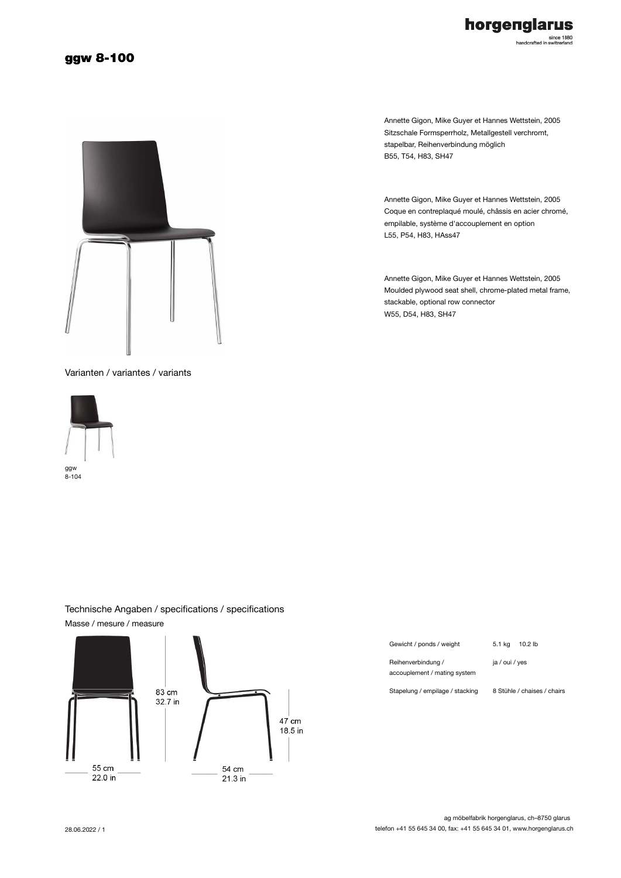## horgenglarus since 1880<br>handcrafted in switzerland

#### ggw 8-100



Annette Gigon, Mike Guyer et Hannes Wettstein, 2005 Sitzschale Formsperrholz, Metallgestell verchromt, stapelbar, Reihenverbindung möglich B55, T54, H83, SH47

Annette Gigon, Mike Guyer et Hannes Wettstein, 2005 Coque en contreplaqué moulé, châssis en acier chromé, empilable, système d'accouplement en option L55, P54, H83, HAss47

Annette Gigon, Mike Guyer et Hannes Wettstein, 2005 Moulded plywood seat shell, chrome-plated metal frame, stackable, optional row connector W55, D54, H83, SH47

Varianten / variantes / variants



8-104



### Technische Angaben / specifications / specifications Masse / mesure / measure

Gewicht / ponds / weight 5.1 kg 10.2 lb

Reihenverbindung / accouplement / mating system

ja / oui / yes

Stapelung / empilage / stacking 8 Stühle / chaises / chairs